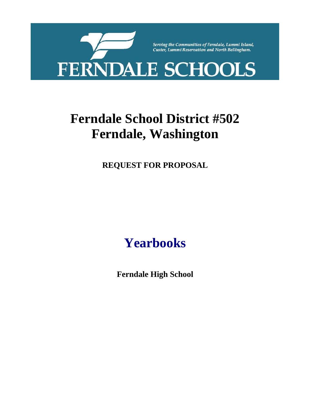

# **Ferndale School District #502 Ferndale, Washington**

**REQUEST FOR PROPOSAL** 

# **Yearbooks**

**Ferndale High School**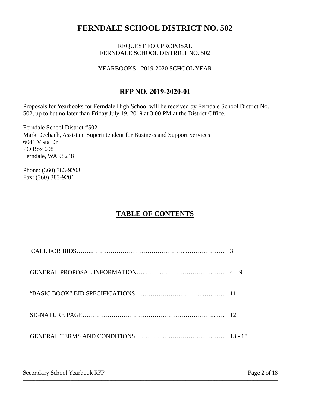# **FERNDALE SCHOOL DISTRICT NO. 502**

# REQUEST FOR PROPOSAL FERNDALE SCHOOL DISTRICT NO. 502

# YEARBOOKS - 2019-2020 SCHOOL YEAR

# **RFP NO. 2019-2020-01**

Proposals for Yearbooks for Ferndale High School will be received by Ferndale School District No. 502, up to but no later than Friday July 19, 2019 at 3:00 PM at the District Office.

Ferndale School District #502 Mark Deebach, Assistant Superintendent for Business and Support Services 6041 Vista Dr. PO Box 698 Ferndale, WA 98248

Phone: (360) 383-9203 Fax: (360) 383-9201

# **TABLE OF CONTENTS**

| 12 |
|----|
|    |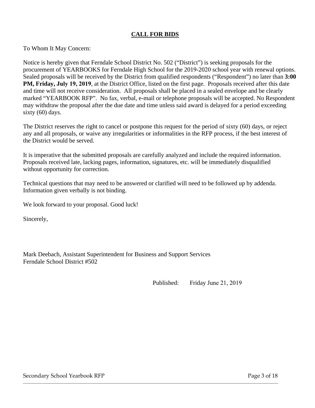# **CALL FOR BIDS**

To Whom It May Concern:

Notice is hereby given that Ferndale School District No. 502 ("District") is seeking proposals for the procurement of YEARBOOKS for Ferndale High School for the 2019-2020 school year with renewal options. Sealed proposals will be received by the District from qualified respondents ("Respondent") no later than **3:00 PM, Friday, July 19, 2019**, at the District Office, listed on the first page. Proposals received after this date and time will not receive consideration. All proposals shall be placed in a sealed envelope and be clearly marked "YEARBOOK RFP". No fax, verbal, e-mail or telephone proposals will be accepted. No Respondent may withdraw the proposal after the due date and time unless said award is delayed for a period exceeding sixty (60) days.

The District reserves the right to cancel or postpone this request for the period of sixty (60) days, or reject any and all proposals, or waive any irregularities or informalities in the RFP process, if the best interest of the District would be served.

It is imperative that the submitted proposals are carefully analyzed and include the required information. Proposals received late, lacking pages, information, signatures, etc. will be immediately disqualified without opportunity for correction.

Technical questions that may need to be answered or clarified will need to be followed up by addenda. Information given verbally is not binding.

 $\_$  , and the set of the set of the set of the set of the set of the set of the set of the set of the set of the set of the set of the set of the set of the set of the set of the set of the set of the set of the set of th

We look forward to your proposal. Good luck!

Sincerely,

Mark Deebach, Assistant Superintendent for Business and Support Services Ferndale School District #502

Published: Friday June 21, 2019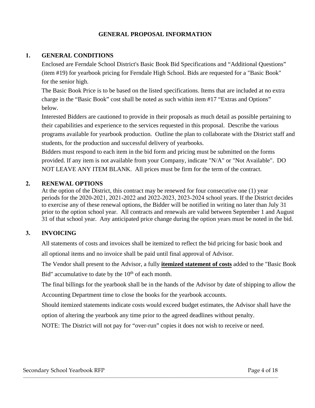# **GENERAL PROPOSAL INFORMATION**

# **1. GENERAL CONDITIONS**

Enclosed are Ferndale School District's Basic Book Bid Specifications and "Additional Questions" (item #19) for yearbook pricing for Ferndale High School. Bids are requested for a "Basic Book" for the senior high.

The Basic Book Price is to be based on the listed specifications. Items that are included at no extra charge in the "Basic Book" cost shall be noted as such within item #17 "Extras and Options" below.

Interested Bidders are cautioned to provide in their proposals as much detail as possible pertaining to their capabilities and experience to the services requested in this proposal. Describe the various programs available for yearbook production. Outline the plan to collaborate with the District staff and students, for the production and successful delivery of yearbooks.

Bidders must respond to each item in the bid form and pricing must be submitted on the forms provided. If any item is not available from your Company, indicate "N/A" or "Not Available". DO NOT LEAVE ANY ITEM BLANK. All prices must be firm for the term of the contract.

# **2. RENEWAL OPTIONS**

At the option of the District, this contract may be renewed for four consecutive one (1) year periods for the 2020-2021, 2021-2022 and 2022-2023, 2023-2024 school years. If the District decides to exercise any of these renewal options, the Bidder will be notified in writing no later than July 31 prior to the option school year. All contracts and renewals are valid between September 1 and August 31 of that school year. Any anticipated price change during the option years must be noted in the bid.

# **3. INVOICING**

All statements of costs and invoices shall be itemized to reflect the bid pricing for basic book and

all optional items and no invoice shall be paid until final approval of Advisor.

The Vendor shall present to the Advisor, a fully **itemized statement of costs** added to the "Basic Book Bid" accumulative to date by the  $10<sup>th</sup>$  of each month.

The final billings for the yearbook shall be in the hands of the Advisor by date of shipping to allow the Accounting Department time to close the books for the yearbook accounts.

Should itemized statements indicate costs would exceed budget estimates, the Advisor shall have the option of altering the yearbook any time prior to the agreed deadlines without penalty.

NOTE: The District will not pay for "over-run" copies it does not wish to receive or need.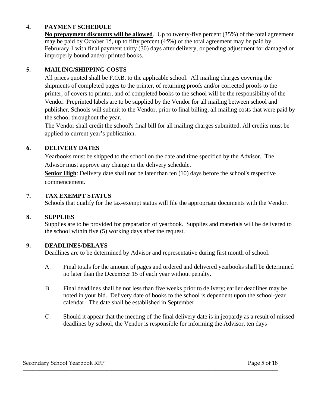# **4. PAYMENT SCHEDULE**

**No prepayment discounts will be allowed**. Up to twenty-five percent (35%) of the total agreement may be paid by October 15, up to fifty percent (45%) of the total agreement may be paid by Februrary 1 with final payment thirty (30) days after delivery, or pending adjustment for damaged or improperly bound and/or printed books.

# **5. MAILING/SHIPPING COSTS**

All prices quoted shall be F.O.B. to the applicable school. All mailing charges covering the shipments of completed pages to the printer, of returning proofs and/or corrected proofs to the printer, of covers to printer, and of completed books to the school will be the responsibility of the Vendor. Preprinted labels are to be supplied by the Vendor for all mailing between school and publisher. Schools will submit to the Vendor, prior to final billing, all mailing costs that were paid by the school throughout the year.

The Vendor shall credit the school's final bill for all mailing charges submitted. All credits must be applied to current year's publication**.** 

# **6. DELIVERY DATES**

Yearbooks must be shipped to the school on the date and time specified by the Advisor. The Advisor must approve any change in the delivery schedule.

**Senior High**: Delivery date shall not be later than ten (10) days before the school's respective commencement.

# **7. TAX EXEMPT STATUS**

Schools that qualify for the tax-exempt status will file the appropriate documents with the Vendor.

# **8. SUPPLIES**

Supplies are to be provided for preparation of yearbook. Supplies and materials will be delivered to the school within five (5) working days after the request.

# **9. DEADLINES/DELAYS**

Deadlines are to be determined by Advisor and representative during first month of school.

- A. Final totals for the amount of pages and ordered and delivered yearbooks shall be determined no later than the December 15 of each year without penalty.
- B. Final deadlines shall be not less than five weeks prior to delivery; earlier deadlines may be noted in your bid. Delivery date of books to the school is dependent upon the school-year calendar. The date shall be established in September.
- C. Should it appear that the meeting of the final delivery date is in jeopardy as a result of missed deadlines by school, the Vendor is responsible for informing the Advisor, ten days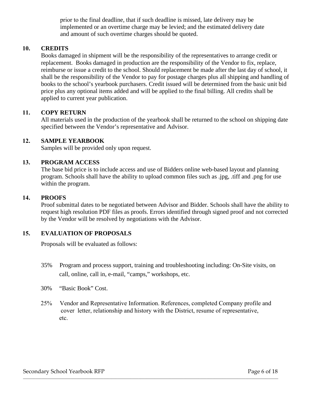prior to the final deadline, that if such deadline is missed, late delivery may be implemented or an overtime charge may be levied; and the estimated delivery date and amount of such overtime charges should be quoted.

# **10. CREDITS**

Books damaged in shipment will be the responsibility of the representatives to arrange credit or replacement. Books damaged in production are the responsibility of the Vendor to fix, replace, reimburse or issue a credit to the school. Should replacement be made after the last day of school, it shall be the responsibility of the Vendor to pay for postage charges plus all shipping and handling of books to the school's yearbook purchasers. Credit issued will be determined from the basic unit bid price plus any optional items added and will be applied to the final billing. All credits shall be applied to current year publication.

# **11. COPY RETURN**

All materials used in the production of the yearbook shall be returned to the school on shipping date specified between the Vendor's representative and Advisor.

# **12. SAMPLE YEARBOOK**

Samples will be provided only upon request.

# **13. PROGRAM ACCESS**

The base bid price is to include access and use of Bidders online web-based layout and planning program. Schools shall have the ability to upload common files such as .jpg, .tiff and .png for use within the program.

### **14. PROOFS**

Proof submittal dates to be negotiated between Advisor and Bidder. Schools shall have the ability to request high resolution PDF files as proofs. Errors identified through signed proof and not corrected by the Vendor will be resolved by negotiations with the Advisor.

# **15. EVALUATION OF PROPOSALS**

Proposals will be evaluated as follows:

- 35% Program and process support, training and troubleshooting including: On-Site visits, on call, online, call in, e-mail, "camps," workshops, etc.
- 30% "Basic Book" Cost.
- 25% cover letter, relationship and history with the District, resume of representative, Vendor and Representative Information. References, completed Company profile and etc.

 $\_$  , and the set of the set of the set of the set of the set of the set of the set of the set of the set of the set of the set of the set of the set of the set of the set of the set of the set of the set of the set of th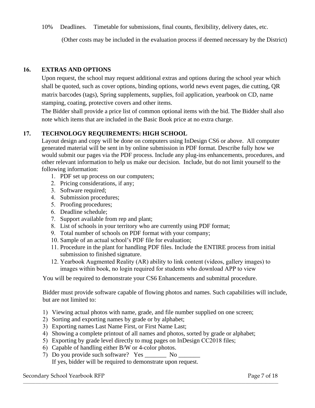10% Deadlines. Timetable for submissions, final counts, flexibility, delivery dates, etc.

(Other costs may be included in the evaluation process if deemed necessary by the District)

# **16. EXTRAS AND OPTIONS**

Upon request, the school may request additional extras and options during the school year which shall be quoted, such as cover options, binding options, world news event pages, die cutting, QR matrix barcodes (tags), Spring supplements, supplies, foil application, yearbook on CD, name stamping, coating, protective covers and other items.

The Bidder shall provide a price list of common optional items with the bid. The Bidder shall also note which items that are included in the Basic Book price at no extra charge.

# **17. TECHNOLOGY REQUIREMENTS: HIGH SCHOOL**

Layout design and copy will be done on computers using InDesign CS6 or above. All computer generated material will be sent in by online submission in PDF format. Describe fully how we would submit our pages via the PDF process. Include any plug-ins enhancements, procedures, and other relevant information to help us make our decision. Include, but do not limit yourself to the following information:

- 1. PDF set up process on our computers;
- 2. Pricing considerations, if any;
- 3. Software required;
- 4. Submission procedures;
- 5. Proofing procedures;
- 6. Deadline schedule;
- 7. Support available from rep and plant;
- 8. List of schools in your territory who are currently using PDF format;
- 9. Total number of schools on PDF format with your company;
- 10. Sample of an actual school's PDF file for evaluation;
- 11. Procedure in the plant for handling PDF files. Include the ENTIRE process from initial submission to finished signature.
- 12. Yearbook Augmented Reality (AR) ability to link content (videos, gallery images) to images within book, no login required for students who download APP to view

You will be required to demonstrate your CS6 Enhancements and submittal procedure.

Bidder must provide software capable of flowing photos and names. Such capabilities will include, but are not limited to:

- 1) Viewing actual photos with name, grade, and file number supplied on one screen;
- 2) Sorting and exporting names by grade or by alphabet;
- 3) Exporting names Last Name First, or First Name Last;
- 4) Showing a complete printout of all names and photos, sorted by grade or alphabet;

 $\_$  , and the set of the set of the set of the set of the set of the set of the set of the set of the set of the set of the set of the set of the set of the set of the set of the set of the set of the set of the set of th

- 5) Exporting by grade level directly to mug pages on InDesign CC2018 files;
- 6) Capable of handling either B/W or 4-color photos.
- 7) Do you provide such software? Yes \_\_\_\_\_\_\_ No \_\_\_\_\_\_\_ If yes, bidder will be required to demonstrate upon request.

Secondary School Yearbook RFP Page 7 of 18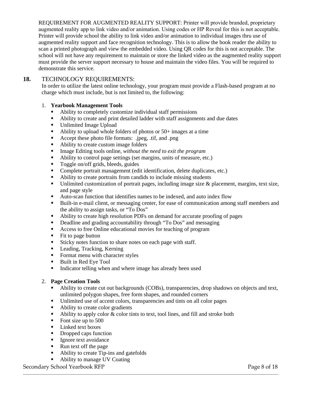REQUIREMENT FOR AUGMENTED REALITY SUPPORT: Printer will provide branded, proprietary augmented reality app to link video and/or animation. Using codes or HP Reveal for this is not acceptable. Printer will provide school the ability to link video and/or animation to individual images thru use of augmented reality support and face recognition technology. This is to allow the book reader the ability to scan a printed photograph and view the embedded video. Using QR codes for this is not acceptable. The school will not have any requirement to maintain or store the linked video as the augmented reality support must provide the server support necessary to house and maintain the video files. You will be required to demonstrate this service.

# **18.** TECHNOLOGY REQUIREMENTS:

In order to utilize the latest online technology, your program must provide a Flash-based program at no charge which must include, but is not limited to, the following:

### 1. **Yearbook Management Tools**

- Ability to completely customize individual staff permissions
- Ability to create and print detailed ladder with staff assignments and due dates
- **Unlimited Image Upload**
- Ability to upload whole folders of photos or  $50+$  images at a time
- Accept these photo file formats: .jpeg, .tif, and .png
- Ability to create custom image folders
- Image Editing tools online, *without the need to exit the program*
- Ability to control page settings (set margins, units of measure, etc.)
- Toggle on/off grids, bleeds, guides
- Complete portrait management (edit identification, delete duplicates, etc.)
- Ability to create portraits from candids to include missing students
- Unlimited customization of portrait pages, including image size  $\&$  placement, margins, text size, and page style
- Auto-scan function that identifies names to be indexed, and auto index flow
- Built-in e-mail client, or messaging center, for ease of communication among staff members and the ability to assign tasks, or "To Dos"
- Ability to create high resolution PDFs on demand for accurate proofing of pages
- Deadline and grading accountability through "To Dos" and messaging
- Access to free Online educational movies for teaching of program
- Fit to page button
- Sticky notes function to share notes on each page with staff.
- Leading, Tracking, Kerning
- Format menu with character styles
- Built in Red Eye Tool
- Indicator telling when and where image has already been used

#### 2. **Page Creation Tools**

- Ability to create cut out backgrounds (COBs), transparencies, drop shadows on objects and text, unlimited polygon shapes, free form shapes, and rounded corners
- Unlimited use of accent colors, transparencies and tints on all color pages
- Ability to create color gradients
- Ability to apply color  $\&$  color tints to text, tool lines, and fill and stroke both

 $\_$  , and the set of the set of the set of the set of the set of the set of the set of the set of the set of the set of the set of the set of the set of the set of the set of the set of the set of the set of the set of th

- Font size up to  $500$
- **Linked text boxes**
- Dropped caps function
- Ignore text avoidance
- Run text off the page
- Ability to create Tip-ins and gatefolds
- Ability to manage UV Coating

# Secondary School Yearbook RFP Page 8 of 18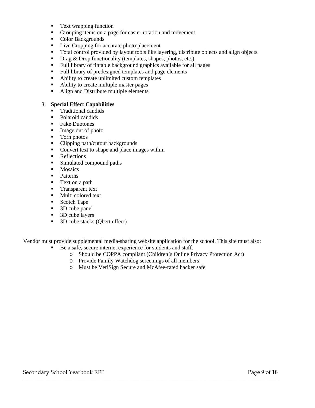- **Text wrapping function**
- Grouping items on a page for easier rotation and movement
- Color Backgrounds
- Live Cropping for accurate photo placement
- Total control provided by layout tools like layering, distribute objects and align objects
- Drag & Drop functionality (templates, shapes, photos, etc.)
- Full library of tintable background graphics available for all pages
- Full library of predesigned templates and page elements
- Ability to create unlimited custom templates
- Ability to create multiple master pages
- Align and Distribute multiple elements

#### 3. **Special Effect Capabilities**

- **Traditional candids**
- Polaroid candids
- Fake Duotones
- Image out of photo
- **Torn photos**
- Clipping path/cutout backgrounds
- Convert text to shape and place images within
- Reflections
- Simulated compound paths
- **Mosaics**
- Patterns
- **Text on a path**
- **Transparent text**
- **Multi** colored text
- Scotch Tape
- 3D cube panel
- 3D cube layers
- 3D cube stacks (Obert effect)

Vendor must provide supplemental media-sharing website application for the school. This site must also:

- Be a safe, secure internet experience for students and staff.
	- o Should be COPPA compliant (Children's Online Privacy Protection Act)

- o Provide Family Watchdog screenings of all members
- o Must be VeriSign Secure and McAfee-rated hacker safe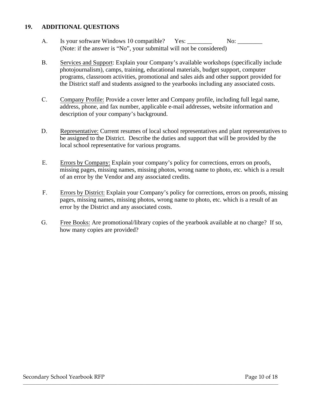# **19. ADDITIONAL QUESTIONS**

- A. Is your software Windows 10 compatible? Yes: No: (Note: if the answer is "No", your submittal will not be considered)
- B. Services and Support: Explain your Company's available workshops (specifically include photojournalism), camps, training, educational materials, budget support, computer programs, classroom activities, promotional and sales aids and other support provided for the District staff and students assigned to the yearbooks including any associated costs.
- C. Company Profile: Provide a cover letter and Company profile, including full legal name, address, phone, and fax number, applicable e-mail addresses, website information and description of your company's background.
- D. Representative: Current resumes of local school representatives and plant representatives to be assigned to the District. Describe the duties and support that will be provided by the local school representative for various programs.
- E. Errors by Company: Explain your company's policy for corrections, errors on proofs, missing pages, missing names, missing photos, wrong name to photo, etc. which is a result of an error by the Vendor and any associated credits.
- F. Errors by District: Explain your Company's policy for corrections, errors on proofs, missing pages, missing names, missing photos, wrong name to photo, etc. which is a result of an error by the District and any associated costs.
- G. Free Books: Are promotional/library copies of the yearbook available at no charge? If so, how many copies are provided?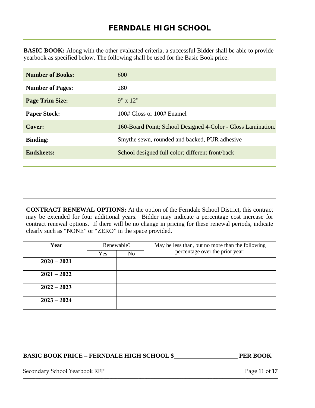**BASIC BOOK:** Along with the other evaluated criteria, a successful Bidder shall be able to provide yearbook as specified below. The following shall be used for the Basic Book price:

| <b>Number of Books:</b> | 600                                                          |
|-------------------------|--------------------------------------------------------------|
| <b>Number of Pages:</b> | 280                                                          |
| <b>Page Trim Size:</b>  | $9'' \times 12''$                                            |
| <b>Paper Stock:</b>     | 100# Gloss or 100# Enamel                                    |
| Cover:                  | 160-Board Point; School Designed 4-Color - Gloss Lamination. |
| <b>Binding:</b>         | Smythe sewn, rounded and backed, PUR adhesive                |
| <b>Endsheets:</b>       | School designed full color; different front/back             |
|                         |                                                              |

 clearly such as "NONE" or "ZERO" in the space provided. **CONTRACT RENEWAL OPTIONS:** At the option of the Ferndale School District, this contract may be extended for four additional years. Bidder may indicate a percentage cost increase for contract renewal options. If there will be no change in pricing for these renewal periods, indicate

| Year          | Renewable? |                | May be less than, but no more than the following |  |
|---------------|------------|----------------|--------------------------------------------------|--|
|               | Yes        | N <sub>o</sub> | percentage over the prior year:                  |  |
| $2020 - 2021$ |            |                |                                                  |  |
| $2021 - 2022$ |            |                |                                                  |  |
| $2022 - 2023$ |            |                |                                                  |  |
| $2023 - 2024$ |            |                |                                                  |  |

\_\_\_\_\_\_\_\_\_\_\_\_\_\_\_\_\_\_\_\_\_\_\_\_\_\_\_\_\_\_\_\_\_\_\_\_\_\_\_\_\_\_\_\_\_\_\_\_\_\_\_\_\_\_\_\_\_\_\_\_\_\_\_\_\_\_\_\_\_\_\_\_\_\_\_\_\_\_\_\_\_\_\_\_\_\_\_\_\_\_\_\_\_\_\_\_\_\_\_\_\_\_\_\_\_\_\_\_\_\_\_\_\_\_\_\_\_\_\_\_\_\_\_\_

# **BASIC BOOK PRICE – FERNDALE HIGH SCHOOL \$ PER BOOK**

Secondary School Yearbook RFP Page 11 of 17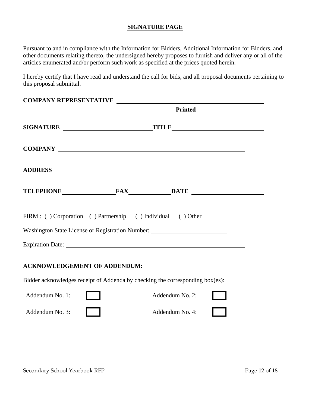# **SIGNATURE PAGE**

Pursuant to and in compliance with the Information for Bidders, Additional Information for Bidders, and other documents relating thereto, the undersigned hereby proposes to furnish and deliver any or all of the articles enumerated and/or perform such work as specified at the prices quoted herein.

I hereby certify that I have read and understand the call for bids, and all proposal documents pertaining to this proposal submittal.

|                                                                                  |                       |  | <b>Printed</b> |  |
|----------------------------------------------------------------------------------|-----------------------|--|----------------|--|
|                                                                                  | SIGNATURE TITLE TITLE |  |                |  |
|                                                                                  |                       |  |                |  |
|                                                                                  |                       |  |                |  |
| TELEPHONE FAX DATE                                                               |                       |  |                |  |
| FIRM : ( ) Corporation ( ) Partnership ( ) Individual ( ) Other                  |                       |  |                |  |
| Washington State License or Registration Number: _______________________________ |                       |  |                |  |
|                                                                                  |                       |  |                |  |

### **ACKNOWLEDGEMENT OF ADDENDUM:**

Bidder acknowledges receipt of Addenda by checking the corresponding box(es):

| Addendum No. 1: | Addendum No. 2: |  |
|-----------------|-----------------|--|
| Addendum No. 3: | Addendum No. 4: |  |

 $\_$  , and the set of the set of the set of the set of the set of the set of the set of the set of the set of the set of the set of the set of the set of the set of the set of the set of the set of the set of the set of th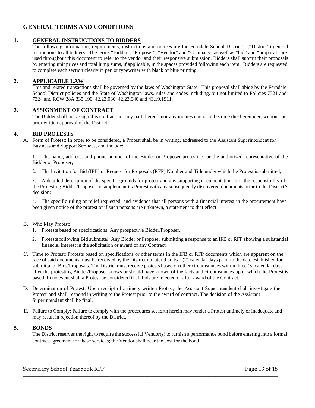### **GENERAL TERMS AND CONDITIONS**

#### **1. GENERAL INSTRUCTIONS TO BIDDERS**

The following information, requirements, instructions and notices are the Ferndale School District's ("District") general instructions to all bidders. The terms "Bidder", "Proposer", "Vendor" and "Company" as well as "bid" and "proposal" are used throughout this document to refer to the vendor and their responsive submission. Bidders shall submit their proposals by entering unit prices and total lump sums, if applicable, in the spaces provided following each item. Bidders are requested to complete each section clearly in pen or typewriter with black or blue printing.

#### **2. APPLICABLE LAW**

 7324 and RCW 28A.335.190, 42.23.030, 42.23.040 and 43.19.1911. This and related transactions shall be governed by the laws of Washington State. This proposal shall abide by the Ferndale School District policies and the State of Washington laws, rules and codes including, but not limited to Policies 7321 and

#### **3. ASSIGNMENT OF CONTRACT**

The Bidder shall not assign this contract nor any part thereof, nor any monies due or to become due hereunder, without the prior written approval of the District.

#### **4. BID PROTESTS**

A. Form of Protest: In order to be considered, a Protest shall be in writing, addressed to the Assistant Superintendent for Business and Support Services, and include:

1. The name, address, and phone number of the Bidder or Proposer protesting, or the authorized representative of the Bidder or Proposer;

2. The Invitation for Bid (IFB) or Request for Proposals (RFP) Number and Title under which the Protest is submitted;

 3. A detailed description of the specific grounds for protest and any supporting documentation. It is the responsibility of the Protesting Bidder/Proposer to supplement its Protest with any subsequently discovered documents prior to the District's decision;

4. The specific ruling or relief requested; and evidence that all persons with a financial interest in the procurement have been given notice of the protest or if such persons are unknown, a statement to that effect.

#### B. Who May Protest:

- 1. Protests based on specifications: Any prospective Bidder/Proposer.
- 2. Protests following Bid submittal: Any Bidder or Proposer submitting a response to an IFB or RFP showing a substantial financial interest in the solicitation or award of any Contract.
- C. Time to Protest: Protests based on specifications or other terms in the IFB or RFP documents which are apparent on the face of said documents must be received by the District no later than two (2) calendar days prior to the date established for submittal of Bids/Proposals. The District must receive protests based on other circumstances within three (3) calendar days after the protesting Bidder/Proposer knows or should have known of the facts and circumstances upon which the Protest is based. In no event shall a Protest be considered if all bids are rejected or after award of the Contract.
- Protest and shall respond in writing to the Protest prior to the award of contract. The decision of the Assistant D. Determination of Protest: Upon receipt of a timely written Protest, the Assistant Superintendent shall investigate the Superintendent shall be final.
- E. Failure to Comply: Failure to comply with the procedures set forth herein may render a Protest untimely or inadequate and may result in rejection thereof by the District.

 $\_$  , and the set of the set of the set of the set of the set of the set of the set of the set of the set of the set of the set of the set of the set of the set of the set of the set of the set of the set of the set of th

#### **5. BONDS**

The District reserves the right to require the successful Vendor(s) to furnish a performance bond before entering into a formal contract agreement for these services; the Vendor shall bear the cost for the bond.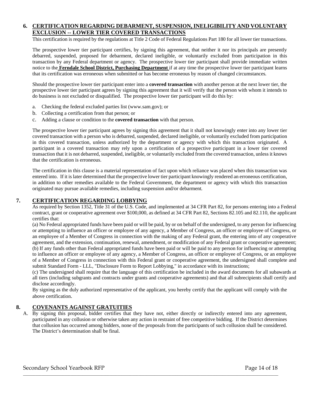#### **6. CERTIFICATION REGARDING DEBARMENT, SUSPENSION, INELIGIBILITY AND VOLUNTARY EXCLUSION -- LOWER TIER COVERED TRANSACTIONS**

This certification is required by the regulations at Title 2 Code of Federal Regulations Part 180 for all lower tier transactions.

 that its certification was erroneous when submitted or has become erroneous by reason of changed circumstances*.*  The prospective lower tier participant certifies, by signing this agreement, that neither it nor its principals are presently debarred, suspended, proposed for debarment, declared ineligible, or voluntarily excluded from participation in this transaction by any Federal department or agency. The prospective lower tier participant shall provide immediate written notice to the **Ferndale School District, Purchasing Department** if at any time the prospective lower tier participant learns

 do business is not excluded or disqualified. The prospective lower tier participant will do this by: Should the prospective lower tier participant enter into a **covered transaction** with another person at the next lower tier, the prospective lower tier participant agrees by signing this agreement that it will verify that the person with whom it intends to

- a. Checking the federal excluded parties list (www.sam.gov); or
- b. Collecting a certification from that person; or
- c. Adding a clause or condition to the **covered transaction** with that person.

 participant in a covered transaction may rely upon a certification of a prospective participant in a lower tier covered The prospective lower tier participant agrees by signing this agreement that it shall not knowingly enter into any lower tier covered transaction with a person who is debarred, suspended, declared ineligible, or voluntarily excluded from participation in this covered transaction, unless authorized by the department or agency with which this transaction originated. A transaction that it is not debarred, suspended, ineligible, or voluntarily excluded from the covered transaction, unless it knows that the certification is erroneous.

The certification in this clause is a material representation of fact upon which reliance was placed when this transaction was entered into. If it is later determined that the prospective lower tier participant knowingly rendered an erroneous certification, in addition to other remedies available to the Federal Government, the department or agency with which this transaction originated may pursue available remedies, including suspension and/or debarment*.* 

#### **7. CERTIFICATION REGARDING LOBBYING**

As required by Section 1352, Title 31 of the U.S. Code, and implemented at 34 CFR Part 82, for persons entering into a Federal contract, grant or cooperative agreement over \$100,000, as defined at 34 CFR Part 82, Sections 82.105 and 82.110, the applicant certifies that:

 agreement, and the extension, continuation, renewal, amendment, or modification of any Federal grant or cooperative agreement; (a) No Federal appropriated funds have been paid or will be paid, by or on behalf of the undersigned, to any person for influencing or attempting to influence an officer or employee of any agency, a Member of Congress, an officer or employee of Congress, or an employee of a Member of Congress in connection with the making of any Federal grant, the entering into of any cooperative (b) If any funds other than Federal appropriated funds have been paid or will be paid to any person for influencing or attempting to influence an officer or employee of any agency, a Member of Congress, an officer or employee of Congress, or an employee of a Member of Congress in connection with this Federal grant or cooperative agreement, the undersigned shall complete and submit Standard Form - LLL, "Disclosure Form to Report Lobbying," in accordance with its instructions;

(c) The undersigned shall require that the language of this certification be included in the award documents for all subawards at all tiers (including subgrants and contracts under grants and cooperative agreements) and that all subrecipients shall certify and disclose accordingly.

By signing as the duly authorized representative of the applicant, you hereby certify that the applicant will comply with the above certification.

#### **8. COVENANTS AGAINST GRATUITIES**

 A. By signing this proposal, bidder certifies that they have not, either directly or indirectly entered into any agreement, participated in any collusion or otherwise taken any action in restraint of free competitive bidding. If the District determines that collusion has occurred among bidders, none of the proposals from the participants of such collusion shall be considered. The District's determination shall be final.

 $\_$  , and the set of the set of the set of the set of the set of the set of the set of the set of the set of the set of the set of the set of the set of the set of the set of the set of the set of the set of the set of th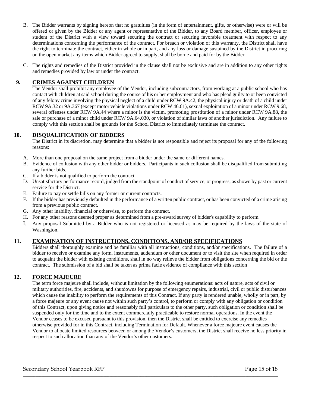- B. The Bidder warrants by signing hereon that no gratuities (in the form of entertainment, gifts, or otherwise) were or will be the right to terminate the contract, either in whole or in part, and any loss or damage sustained by the District in procuring offered or given by the Bidder or any agent or representative of the Bidder, to any Board member, officer, employee or student of the District with a view toward securing the contract or securing favorable treatment with respect to any determinations concerning the performance of the contract. For breach or violation of this warranty, the District shall have on the open market any items which Bidder agreed to supply, shall be borne and paid for by the Bidder.
- and remedies provided by law or under the contract. C. The rights and remedies of the District provided in the clause shall not be exclusive and are in addition to any other rights

#### **9. CRIMES AGAINST CHILDREN**

 contact with children at said school during the course of his or her employment and who has plead guilty to or been convicted of any felony crime involving the physical neglect of a child under RCW 9A.42, the physical injury or death of a child under RCW 9A.32 or 9A.367 (except motor vehicle violations under RCW 46.61), sexual exploitation of a minor under RCW 9.68, The Vendor shall prohibit any employee of the Vendor, including subcontractors, from working at a public school who has several offenses under RCW 9A.44 where a minor is the victim, promoting prostitution of a minor under RCW 9A.88, the sale or purchase of a minor child under RCW 9A.64.030, or violation of similar laws of another jurisdiction. Any failure to comply with this section shall be grounds for the School District to immediately terminate the contract.

#### **10. DISQUALIFICATION OF BIDDERS**

 The District in its discretion, may determine that a bidder is not responsible and reject its proposal for any of the following reasons:

- A. More than one proposal on the same project from a bidder under the same or different names.
- B. Evidence of collusion with any other bidder or bidders. Participants in such collusion shall be disqualified from submitting any further bids.
- C. If a bidder is not qualified to perform the contract.
- D. Unsatisfactory performance record, judged from the standpoint of conduct of service, or progress, as shown by past or current service for the District.
- E. Failure to pay or settle bills on any former or current contracts.
- F. If the bidder has previously defaulted in the performance of a written public contract, or has been convicted of a crime arising from a previous public contract.
- G. Any other inability, financial or otherwise, to perform the contract.
- H. For any other reasons deemed proper as determined from a pre-award survey of bidder's capability to perform.
- I. Any proposal Submitted by a Bidder who is not registered or licensed as may be required by the laws of the state of Washington.

#### **11. EXAMINATION OF INSTRUCTIONS, CONDITIONS, AND/OR SPECIFICATIONS**

 to acquaint the bidder with existing conditions, shall in no way relieve the bidder from obligations concerning the bid or the Bidders shall thoroughly examine and be familiar with all instructions, conditions, and/or specifications. The failure of a bidder to receive or examine any form, instruments, addendum or other document or to visit the site when required in order contract. The submission of a bid shall be taken as prima facie evidence of compliance with this section

#### **12. FORCE MAJEURE**

 of this Contract, upon giving notice and reasonably full particulars to the other party, such obligation or condition shall be The term force majeure shall include, without limitation by the following enumerations: acts of nature, acts of civil or military authorities, fire, accidents, and shutdowns for purpose of emergency repairs, industrial, civil or public disturbances which cause the inability to perform the requirements of this Contract. If any party is rendered unable, wholly or in part, by a force majeure or any event cause not within such party's control, to perform or comply with any obligation or condition suspended only for the time and to the extent commercially practicable to restore normal operations. In the event the Vendor ceases to be excused pursuant to this provision, then the District shall be entitled to exercise any remedies otherwise provided for in this Contract, including Termination for Default. Whenever a force majeure event causes the Vendor to allocate limited resources between or among the Vendor's customers, the District shall receive no less priority in respect to such allocation than any of the Vendor's other customers.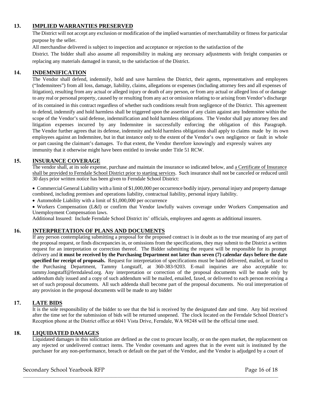#### **13. IMPLIED WARRANTIES PRESERVED**

The District will not accept any exclusion or modification of the implied warranties of merchantability or fitness for particular purpose by the seller.

All merchandise delivered is subject to inspection and acceptance or rejection to the satisfaction of the

District. The bidder shall also assume all responsibility in making any necessary adjustments with freight companies or replacing any materials damaged in transit, to the satisfaction of the District.

#### **14. INDEMNIFICATION**

 or part causing the claimant's damages. To that extent, the Vendor therefore knowingly and expressly waives any The Vendor shall defend, indemnify, hold and save harmless the District, their agents, representatives and employees ("Indemnitees") from all loss, damage, liability, claims, allegations or expenses (including attorney fees and all expenses of litigation), resulting from any actual or alleged injury or death of any person, or from any actual or alleged loss of or damage to any real or personal property, caused by or resulting from any act or omission relating to or arising from Vendor's discharge of its contained in this contract regardless of whether such conditions result from negligence of the District. This agreement to defend, indemnify and hold harmless shall be triggered upon the assertion of any claim against any Indemnitee within the scope of the Vendor's said defense, indemnification and hold harmless obligations. The Vendor shall pay attorney fees and litigation expenses incurred by any Indemnitee in successfully enforcing the obligation of this Paragraph. The Vendor further agrees that its defense, indemnity and hold harmless obligations shall apply to claims made by its own employees against an Indemnitee, but in that instance only to the extent of the Vendor's own negligence or fault in whole immunity that it otherwise might have been entitled to invoke under Title 51 RCW.

#### **15. INSURANCE COVERAGE**

The vendor shall, at its sole expense, purchase and maintain the insurance so indicated below, and a Certificate of Insurance shall be provided to Ferndale School District prior to starting services. Such insurance shall not be canceled or reduced until 30 days prior written notice has been given to Ferndale School District:

• Commercial General Liability with a limit of \$1,000,000 per occurrence bodily injury, personal injury and property damage combined, including premises and operations liability, contractual liability, personal injury liability.

• Automobile Liability with a limit of \$1,000,000 per occurrence

• Workers Compensation (L&I) or confirm that Vendor lawfully waives coverage under Workers Compensation and Unemployment Compensation laws.

Additional Insured: Include Ferndale School District its' officials, employees and agents as additional insurers.

#### **16. INTERPRETATION OF PLANS AND DOCUMENTS**

If any person contemplating submitting a proposal for the proposed contract is in doubt as to the true meaning of any part of the proposal request, or finds discrepancies in, or omissions from the specifications, they may submit to the District a written request for an interpretation or correction thereof. The Bidder submitting the request will be responsible for its prompt delivery and **it must be received by the Purchasing Department not later than seven (7) calendar days before the date specified for receipt of proposals.** Request for interpretation of specifications must be hand delivered, mailed, or faxed to the Purchasing Department, Tammy Longstaff, at 360-383-9203. E-mail inquiries are also acceptable to: tammy.longstaff@ferndalesd.org. Any interpretation or correction of the proposal documents will be made only by addendum duly issued and a copy of such addendum will be mailed, emailed, faxed, or delivered to each person receiving a set of such proposal documents. All such addenda shall become part of the proposal documents. No oral interpretation of any provision in the proposal documents will be made to any bidder

#### **17. LATE BIDS**

It is the sole responsibility of the bidder to see that the bid is received by the designated date and time. Any bid received after the time set for the submission of bids will be returned unopened. The clock located on the Ferndale School District's Reception phone at the District office at 6041 Vista Drive, Ferndale, WA 98248 will be the official time used.

#### **18. LIQUIDATED DAMAGES**

Liquidated damages in this solicitation are defined as the cost to procure locally, or on the open market, the replacement on any rejected or undelivered contract items. The Vendor covenants and agrees that in the event suit is instituted by the purchaser for any non-performance, breach or default on the part of the Vendor, and the Vendor is adjudged by a court of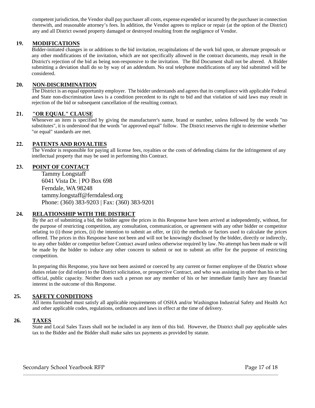competent jurisdiction, the Vendor shall pay purchaser all costs, expense expended or incurred by the purchaser in connection therewith, and reasonable attorney's fees. In addition, the Vendor agrees to replace or repair (at the option of the District) any and all District owned property damaged or destroyed resulting from the negligence of Vendor.

#### **19. MODIFICATIONS**

 submitting a deviation shall do so by way of an addendum. No oral telephone modifications of any bid submitted will be Bidder-initiated changes in or additions to the bid invitation, recapitulations of the work bid upon, or alternate proposals or any other modifications of the invitation, which are not specifically allowed in the contract documents, may result in the District's rejection of the bid as being non-responsive to the invitation. The Bid Document shall not be altered. A Bidder considered.

#### **20. NON-DISCRIMINATION**

The District is an equal opportunity employer. The bidder understands and agrees that its compliance with applicable Federal and State non-discrimination laws is a condition precedent to its right to bid and that violation of said laws may result in rejection of the bid or subsequent cancellation of the resulting contract*.* 

#### **21. "OR EQUAL" CLAUSE**

Whenever an item is specified by giving the manufacturer's name, brand or number, unless followed by the words "no substitutes", it is understood that the words "or approved equal" follow. The District reserves the right to determine whether "or equal" standards are met.

#### **22. PATENTS AND ROYALTIES**

The Vendor is responsible for paying all license fees, royalties or the costs of defending claims for the infringement of any intellectual property that may be used in performing this Contract.

#### **23. POINT OF CONTACT**

Tammy Longstaff 6041 Vista Dr. | PO Box 698 Ferndale, WA 98248 tammy.longstaff@ferndalesd.org Phone: (360) 383-9203 | Fax: (360) 383-9201

#### **24. RELATIONSHIP WITH THE DISTRICT**

By the act of submitting a bid, the bidder agree the prices in this Response have been arrived at independently, without, for the purpose of restricting competition, any consultation, communication, or agreement with any other bidder or competitor relating to (i) those prices, (ii) the intention to submit an offer, or (iii) the methods or factors used to calculate the prices offered. The prices in this Response have not been and will not be knowingly disclosed by the bidder, directly or indirectly, to any other bidder or competitor before Contract award unless otherwise required by law. No attempt has been made or will be made by the bidder to induce any other concern to submit or not to submit an offer for the purpose of restricting competition.

 official, public capacity. Neither does such a person nor any member of his or her immediate family have any financial In preparing this Response, you have not been assisted or coerced by any current or former employee of the District whose duties relate (or did relate) to the District solicitation, or prospective Contract, and who was assisting in other than his or her interest in the outcome of this Response.

#### **25. SAFETY CONDITIONS**

All items furnished must satisfy all applicable requirements of OSHA and/or Washington Industrial Safety and Health Act and other applicable codes, regulations, ordinances and laws in effect at the time of delivery.

#### **26. TAXES**

State and Local Sales Taxes shall not be included in any item of this bid. However, the District shall pay applicable sales tax to the Bidder and the Bidder shall make sales tax payments as provided by statute.